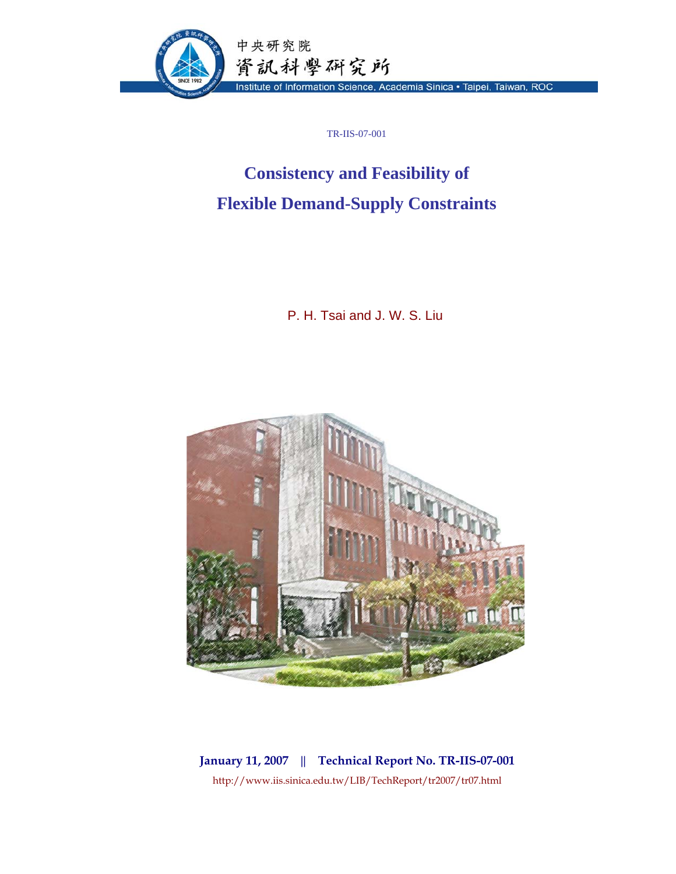

TR-IIS-07-001

## **Consistency and Feasibility of Flexible Demand-Supply Constraints**

P. H. Tsai and J. W. S. Liu



**January 11, 2007 || Technical Report No. TR-IIS-07-001**  http://www.iis.sinica.edu.tw/LIB/TechReport/tr2007/tr07.html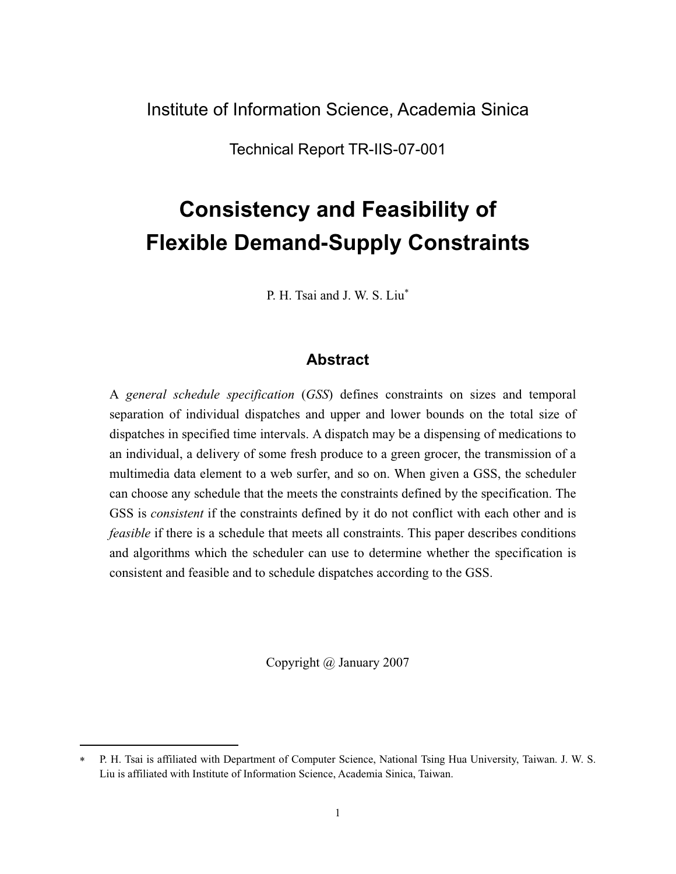Institute of Information Science, Academia Sinica

Technical Report TR-IIS-07-001

# **Consistency and Feasibility of Flexible Demand-Supply Constraints**

P. H. Tsai and J. W. S. Liu

## **Abstract**

A *general schedule specification* (*GSS*) defines constraints on sizes and temporal separation of individual dispatches and upper and lower bounds on the total size of dispatches in specified time intervals. A dispatch may be a dispensing of medications to an individual, a delivery of some fresh produce to a green grocer, the transmission of a multimedia data element to a web surfer, and so on. When given a GSS, the scheduler can choose any schedule that the meets the constraints defined by the specification. The GSS is *consistent* if the constraints defined by it do not conflict with each other and is *feasible* if there is a schedule that meets all constraints. This paper describes conditions and algorithms which the scheduler can use to determine whether the specification is consistent and feasible and to schedule dispatches according to the GSS.

Copyright @ January 2007

 P. H. Tsai is affiliated with Department of Computer Science, National Tsing Hua University, Taiwan. J. W. S. Liu is affiliated with Institute of Information Science, Academia Sinica, Taiwan.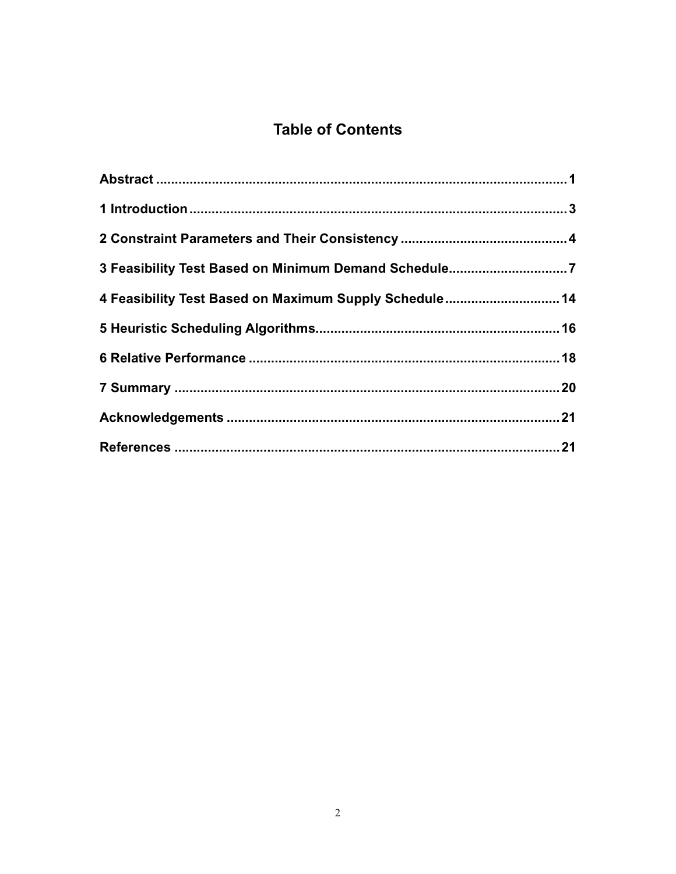## **Table of Contents**

| 3 Feasibility Test Based on Minimum Demand Schedule7   |  |
|--------------------------------------------------------|--|
| 4 Feasibility Test Based on Maximum Supply Schedule 14 |  |
|                                                        |  |
|                                                        |  |
|                                                        |  |
|                                                        |  |
|                                                        |  |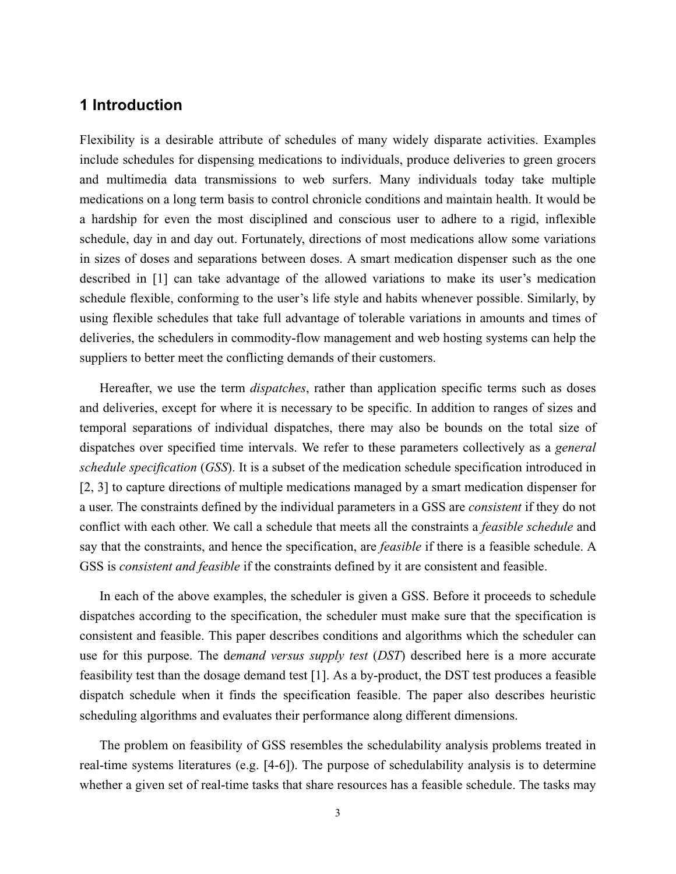## **1 Introduction**

Flexibility is a desirable attribute of schedules of many widely disparate activities. Examples include schedules for dispensing medications to individuals, produce deliveries to green grocers and multimedia data transmissions to web surfers. Many individuals today take multiple medications on a long term basis to control chronicle conditions and maintain health. It would be a hardship for even the most disciplined and conscious user to adhere to a rigid, inflexible schedule, day in and day out. Fortunately, directions of most medications allow some variations in sizes of doses and separations between doses. A smart medication dispenser such as the one described in [1] can take advantage of the allowed variations to make its user's medication schedule flexible, conforming to the user's life style and habits whenever possible. Similarly, by using flexible schedules that take full advantage of tolerable variations in amounts and times of deliveries, the schedulers in commodity-flow management and web hosting systems can help the suppliers to better meet the conflicting demands of their customers.

 Hereafter, we use the term *dispatches*, rather than application specific terms such as doses and deliveries, except for where it is necessary to be specific. In addition to ranges of sizes and temporal separations of individual dispatches, there may also be bounds on the total size of dispatches over specified time intervals. We refer to these parameters collectively as a *general schedule specification* (*GSS*). It is a subset of the medication schedule specification introduced in [2, 3] to capture directions of multiple medications managed by a smart medication dispenser for a user. The constraints defined by the individual parameters in a GSS are *consistent* if they do not conflict with each other. We call a schedule that meets all the constraints a *feasible schedule* and say that the constraints, and hence the specification, are *feasible* if there is a feasible schedule. A GSS is *consistent and feasible* if the constraints defined by it are consistent and feasible.

In each of the above examples, the scheduler is given a GSS. Before it proceeds to schedule dispatches according to the specification, the scheduler must make sure that the specification is consistent and feasible. This paper describes conditions and algorithms which the scheduler can use for this purpose. The d*emand versus supply test* (*DST*) described here is a more accurate feasibility test than the dosage demand test [1]. As a by-product, the DST test produces a feasible dispatch schedule when it finds the specification feasible. The paper also describes heuristic scheduling algorithms and evaluates their performance along different dimensions.

The problem on feasibility of GSS resembles the schedulability analysis problems treated in real-time systems literatures (e.g. [4-6]). The purpose of schedulability analysis is to determine whether a given set of real-time tasks that share resources has a feasible schedule. The tasks may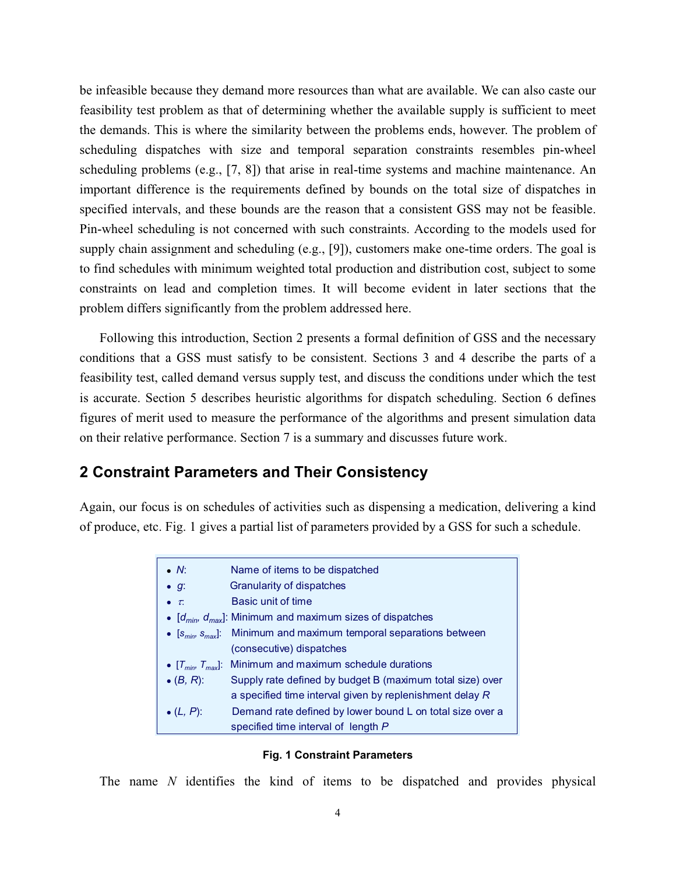be infeasible because they demand more resources than what are available. We can also caste our feasibility test problem as that of determining whether the available supply is sufficient to meet the demands. This is where the similarity between the problems ends, however. The problem of scheduling dispatches with size and temporal separation constraints resembles pin-wheel scheduling problems (e.g., [7, 8]) that arise in real-time systems and machine maintenance. An important difference is the requirements defined by bounds on the total size of dispatches in specified intervals, and these bounds are the reason that a consistent GSS may not be feasible. Pin-wheel scheduling is not concerned with such constraints. According to the models used for supply chain assignment and scheduling (e.g., [9]), customers make one-time orders. The goal is to find schedules with minimum weighted total production and distribution cost, subject to some constraints on lead and completion times. It will become evident in later sections that the problem differs significantly from the problem addressed here.

Following this introduction, Section 2 presents a formal definition of GSS and the necessary conditions that a GSS must satisfy to be consistent. Sections 3 and 4 describe the parts of a feasibility test, called demand versus supply test, and discuss the conditions under which the test is accurate. Section 5 describes heuristic algorithms for dispatch scheduling. Section 6 defines figures of merit used to measure the performance of the algorithms and present simulation data on their relative performance. Section 7 is a summary and discusses future work.

#### **2 Constraint Parameters and Their Consistency**

Again, our focus is on schedules of activities such as dispensing a medication, delivering a kind of produce, etc. Fig. 1 gives a partial list of parameters provided by a GSS for such a schedule.

| $\bullet$ N:       | Name of items to be dispatched                                            |
|--------------------|---------------------------------------------------------------------------|
| $\bullet$ g:       | Granularity of dispatches                                                 |
| $\bullet$ $\tau$ . | Basic unit of time                                                        |
|                    | • $[d_{min}, d_{max}]$ : Minimum and maximum sizes of dispatches          |
|                    | • $[s_{min}, s_{max}]$ : Minimum and maximum temporal separations between |
|                    | (consecutive) dispatches                                                  |
|                    | • $[T_{min}, T_{max}]$ : Minimum and maximum schedule durations           |
| $\bullet$ (B, R):  | Supply rate defined by budget B (maximum total size) over                 |
|                    | a specified time interval given by replenishment delay R                  |
| • $(L, P)$ :       | Demand rate defined by lower bound L on total size over a                 |
|                    | specified time interval of length P                                       |

#### **Fig. 1 Constraint Parameters**

The name *N* identifies the kind of items to be dispatched and provides physical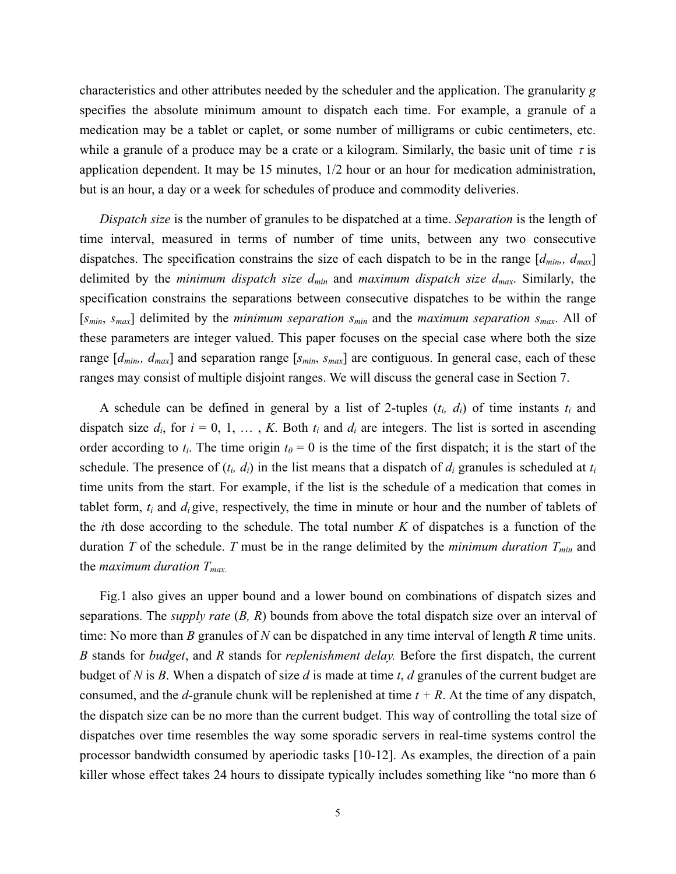characteristics and other attributes needed by the scheduler and the application. The granularity *g* specifies the absolute minimum amount to dispatch each time. For example, a granule of a medication may be a tablet or caplet, or some number of milligrams or cubic centimeters, etc. while a granule of a produce may be a crate or a kilogram. Similarly, the basic unit of time  $\tau$  is application dependent. It may be 15 minutes, 1/2 hour or an hour for medication administration, but is an hour, a day or a week for schedules of produce and commodity deliveries.

*Dispatch size* is the number of granules to be dispatched at a time. *Separation* is the length of time interval, measured in terms of number of time units, between any two consecutive dispatches. The specification constrains the size of each dispatch to be in the range  $[d_{min}, d_{max}]$ delimited by the *minimum dispatch size dmin* and *maximum dispatch size dmax*. Similarly, the specification constrains the separations between consecutive dispatches to be within the range [*smin*, *smax*] delimited by the *minimum separation smin* and the *maximum separation smax*. All of these parameters are integer valued. This paper focuses on the special case where both the size range  $[d_{min}$ ,  $d_{max}$ ] and separation range [ $s_{min}$ ,  $s_{max}$ ] are contiguous. In general case, each of these ranges may consist of multiple disjoint ranges. We will discuss the general case in Section 7.

A schedule can be defined in general by a list of 2-tuples  $(t_i, d_i)$  of time instants  $t_i$  and dispatch size  $d_i$ , for  $i = 0, 1, \ldots, K$ . Both  $t_i$  and  $d_i$  are integers. The list is sorted in ascending order according to  $t_i$ . The time origin  $t_0 = 0$  is the time of the first dispatch; it is the start of the schedule. The presence of (*ti, di*) in the list means that a dispatch of *di* granules is scheduled at *ti* time units from the start. For example, if the list is the schedule of a medication that comes in tablet form, *ti* and *di* give, respectively, the time in minute or hour and the number of tablets of the *i*th dose according to the schedule. The total number *K* of dispatches is a function of the duration *T* of the schedule. *T* must be in the range delimited by the *minimum duration*  $T_{min}$  and the *maximum duration Tmax*.

Fig.1 also gives an upper bound and a lower bound on combinations of dispatch sizes and separations. The *supply rate* (*B, R*) bounds from above the total dispatch size over an interval of time: No more than *B* granules of *N* can be dispatched in any time interval of length *R* time units. *B* stands for *budget*, and *R* stands for *replenishment delay.* Before the first dispatch, the current budget of *N* is *B*. When a dispatch of size *d* is made at time *t*, *d* granules of the current budget are consumed, and the *d*-granule chunk will be replenished at time  $t + R$ . At the time of any dispatch, the dispatch size can be no more than the current budget. This way of controlling the total size of dispatches over time resembles the way some sporadic servers in real-time systems control the processor bandwidth consumed by aperiodic tasks [10-12]. As examples, the direction of a pain killer whose effect takes 24 hours to dissipate typically includes something like "no more than 6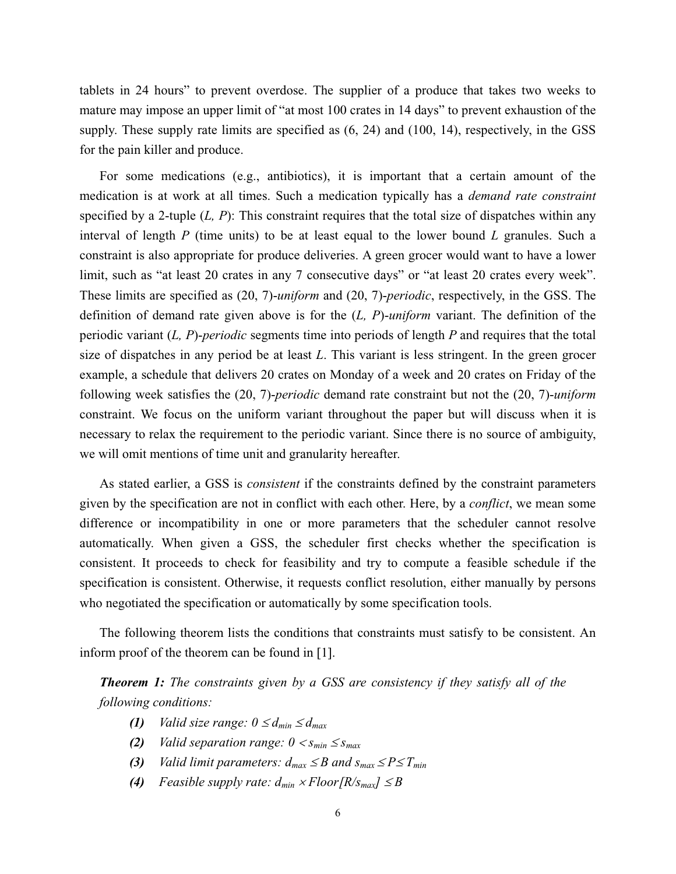tablets in 24 hours" to prevent overdose. The supplier of a produce that takes two weeks to mature may impose an upper limit of "at most 100 crates in 14 days" to prevent exhaustion of the supply. These supply rate limits are specified as (6, 24) and (100, 14), respectively, in the GSS for the pain killer and produce.

For some medications (e.g., antibiotics), it is important that a certain amount of the medication is at work at all times. Such a medication typically has a *demand rate constraint*  specified by a 2-tuple (*L, P*): This constraint requires that the total size of dispatches within any interval of length *P* (time units) to be at least equal to the lower bound *L* granules. Such a constraint is also appropriate for produce deliveries. A green grocer would want to have a lower limit, such as "at least 20 crates in any 7 consecutive days" or "at least 20 crates every week". These limits are specified as (20, 7)-*uniform* and (20, 7)-*periodic*, respectively, in the GSS. The definition of demand rate given above is for the (*L, P*)-*uniform* variant. The definition of the periodic variant (*L, P*)-*periodic* segments time into periods of length *P* and requires that the total size of dispatches in any period be at least *L*. This variant is less stringent. In the green grocer example, a schedule that delivers 20 crates on Monday of a week and 20 crates on Friday of the following week satisfies the (20, 7)-*periodic* demand rate constraint but not the (20, 7)-*uniform*  constraint. We focus on the uniform variant throughout the paper but will discuss when it is necessary to relax the requirement to the periodic variant. Since there is no source of ambiguity, we will omit mentions of time unit and granularity hereafter.

As stated earlier, a GSS is *consistent* if the constraints defined by the constraint parameters given by the specification are not in conflict with each other. Here, by a *conflict*, we mean some difference or incompatibility in one or more parameters that the scheduler cannot resolve automatically. When given a GSS, the scheduler first checks whether the specification is consistent. It proceeds to check for feasibility and try to compute a feasible schedule if the specification is consistent. Otherwise, it requests conflict resolution, either manually by persons who negotiated the specification or automatically by some specification tools.

The following theorem lists the conditions that constraints must satisfy to be consistent. An inform proof of the theorem can be found in [1].

*Theorem 1: The constraints given by a GSS are consistency if they satisfy all of the following conditions:* 

- *(1) Valid size range:*  $0 \le d_{min} \le d_{max}$
- *(2) Valid separation range:*  $0 < s_{min} \le s_{max}$
- *(3) Valid limit parameters:*  $d_{max} \leq B$  *and*  $s_{max} \leq P \leq T_{min}$
- *(4) Feasible supply rate:*  $d_{min} \times Floor[R/s_{max}] \leq B$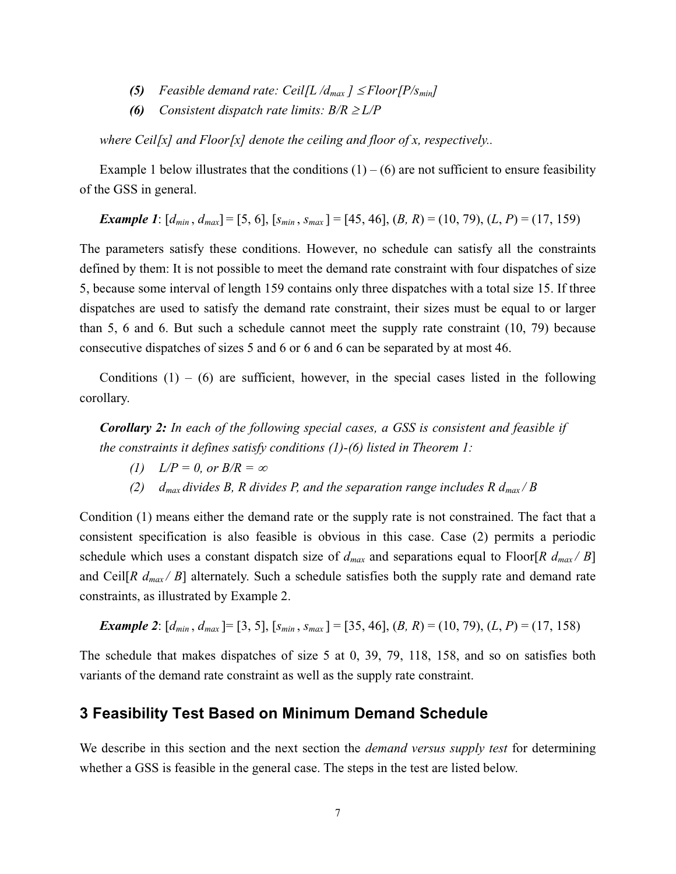- **(5)** *Feasible demand rate: Ceil[L /d<sub>max</sub> ]*  $\leq$  *Floor[P/s<sub>min</sub>]*
- **(6)** *Consistent dispatch rate limits:*  $B/R \geq L/P$

*where Ceil[x] and Floor[x] denote the ceiling and floor of x, respectively..*

Example 1 below illustrates that the conditions  $(1) - (6)$  are not sufficient to ensure feasibility of the GSS in general.

*Example 1*:  $[d_{min}, d_{max}] = [5, 6]$ ,  $[s_{min}, s_{max}] = [45, 46]$ ,  $(B, R) = (10, 79)$ ,  $(L, P) = (17, 159)$ 

The parameters satisfy these conditions. However, no schedule can satisfy all the constraints defined by them: It is not possible to meet the demand rate constraint with four dispatches of size 5, because some interval of length 159 contains only three dispatches with a total size 15. If three dispatches are used to satisfy the demand rate constraint, their sizes must be equal to or larger than 5, 6 and 6. But such a schedule cannot meet the supply rate constraint (10, 79) because consecutive dispatches of sizes 5 and 6 or 6 and 6 can be separated by at most 46.

Conditions  $(1) - (6)$  are sufficient, however, in the special cases listed in the following corollary.

*Corollary 2: In each of the following special cases, a GSS is consistent and feasible if the constraints it defines satisfy conditions (1)-(6) listed in Theorem 1:* 

- *(1)*  $L/P = 0$ , or  $B/R = \infty$
- *(2) d<sub>max</sub> divides B, R divides P, and the separation range includes R*  $d_{max}/B$

Condition (1) means either the demand rate or the supply rate is not constrained. The fact that a consistent specification is also feasible is obvious in this case. Case (2) permits a periodic schedule which uses a constant dispatch size of  $d_{max}$  and separations equal to Floor[ $R$   $d_{max}/B$ ] and Ceil[ $R d_{max}/B$ ] alternately. Such a schedule satisfies both the supply rate and demand rate constraints, as illustrated by Example 2.

**Example 2:** 
$$
[d_{min}, d_{max}] = [3, 5], [s_{min}, s_{max}] = [35, 46], (B, R) = (10, 79), (L, P) = (17, 158)
$$

The schedule that makes dispatches of size 5 at 0, 39, 79, 118, 158, and so on satisfies both variants of the demand rate constraint as well as the supply rate constraint.

#### **3 Feasibility Test Based on Minimum Demand Schedule**

We describe in this section and the next section the *demand versus supply test* for determining whether a GSS is feasible in the general case. The steps in the test are listed below.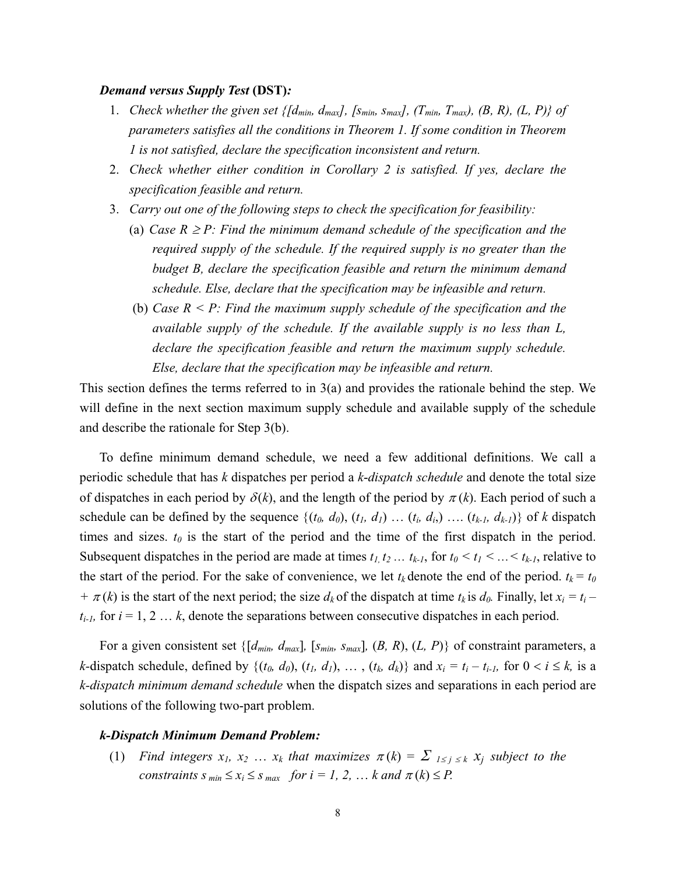#### *Demand versus Supply Test* **(DST)***:*

- 1. *Check whether the given set*  $\{[d_{min}, d_{max}]\}$ ,  $[s_{min}, s_{max}]\}$ ,  $(T_{min}, T_{max})$ ,  $(B, R)\}$ ,  $(L, P)\}$  of *parameters satisfies all the conditions in Theorem 1. If some condition in Theorem 1 is not satisfied, declare the specification inconsistent and return.*
- 2. *Check whether either condition in Corollary 2 is satisfied. If yes, declare the specification feasible and return.*
- 3. *Carry out one of the following steps to check the specification for feasibility:* 
	- (a) *Case R*  $\geq$  *P: Find the minimum demand schedule of the specification and the required supply of the schedule. If the required supply is no greater than the budget B, declare the specification feasible and return the minimum demand schedule. Else, declare that the specification may be infeasible and return.*
	- (b) *Case R < P: Find the maximum supply schedule of the specification and the available supply of the schedule. If the available supply is no less than L, declare the specification feasible and return the maximum supply schedule. Else, declare that the specification may be infeasible and return.*

This section defines the terms referred to in 3(a) and provides the rationale behind the step. We will define in the next section maximum supply schedule and available supply of the schedule and describe the rationale for Step 3(b).

To define minimum demand schedule, we need a few additional definitions. We call a periodic schedule that has *k* dispatches per period a *k*-*dispatch schedule* and denote the total size of dispatches in each period by  $\delta(k)$ , and the length of the period by  $\pi(k)$ . Each period of such a schedule can be defined by the sequence  $\{(t_0, d_0), (t_1, d_1), \ldots (t_i, d_i), \ldots (t_{k-l}, d_{k-l})\}$  of *k* dispatch times and sizes.  $t_0$  is the start of the period and the time of the first dispatch in the period. Subsequent dispatches in the period are made at times  $t_1, t_2, \ldots, t_{k-1}$ , for  $t_0 \le t_1 \le \ldots \le t_{k-1}$ , relative to the start of the period. For the sake of convenience, we let  $t_k$  denote the end of the period.  $t_k = t_0$  $+\pi(k)$  is the start of the next period; the size  $d_k$  of the dispatch at time  $t_k$  is  $d_0$ . Finally, let  $x_i = t_i$  $t_{i-l}$ , for  $i = 1, 2, \ldots, k$ , denote the separations between consecutive dispatches in each period.

For a given consistent set  $\{[d_{min}, d_{max}]\}$ ,  $[s_{min}, s_{max}]\}$ ,  $(B, R), (L, P)\}$  of constraint parameters, a *k*-dispatch schedule, defined by  $\{(t_0, d_0), (t_1, d_1), \ldots, (t_k, d_k)\}\$  and  $x_i = t_i - t_{i-1}$ , for  $0 < i \leq k$ , is a *k-dispatch minimum demand schedule* when the dispatch sizes and separations in each period are solutions of the following two-part problem.

#### *k-Dispatch Minimum Demand Problem:*

(1) *Find integers*  $x_1, x_2, \ldots, x_k$  that maximizes  $\pi(k) = \sum_{1 \leq j \leq k} x_j$  subject to the *constraints s*  $_{min} \le x_i \le s$   $_{max}$  *for i = 1, 2, ... k and*  $\pi(k) \le P$ *.*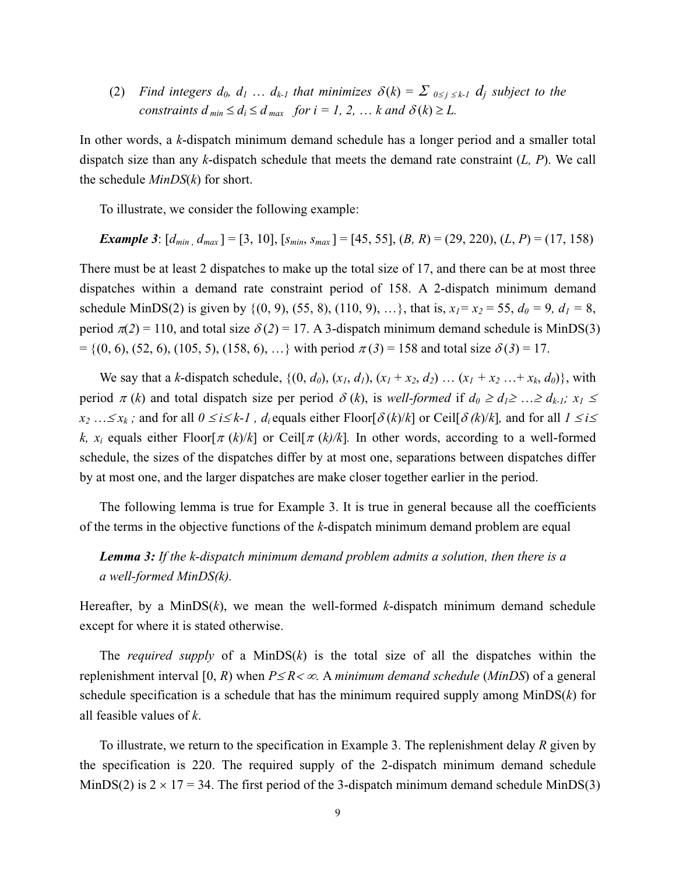(2) *Find integers d<sub>0</sub>, d<sub>1</sub> ... d<sub>k-1</sub> that minimizes*  $\delta(k) = \sum_{0 \le j \le k-1} d_j$  *subject to the constraints d*<sub>min</sub>  $\leq d_i \leq d$ <sub>max</sub> *for i = 1, 2, ... k and*  $\delta(k) \geq L$ *.* 

In other words, a *k*-dispatch minimum demand schedule has a longer period and a smaller total dispatch size than any *k*-dispatch schedule that meets the demand rate constraint (*L, P*). We call the schedule *MinDS*(*k*) for short.

To illustrate, we consider the following example:

**Example 3:** 
$$
[d_{min}, d_{max}] = [3, 10], [s_{min}, s_{max}] = [45, 55], (B, R) = (29, 220), (L, P) = (17, 158)
$$

There must be at least 2 dispatches to make up the total size of 17, and there can be at most three dispatches within a demand rate constraint period of 158. A 2-dispatch minimum demand schedule MinDS(2) is given by {(0, 9), (55, 8), (110, 9), ...}, that is,  $x_1 = x_2 = 55$ ,  $d_0 = 9$ ,  $d_1 = 8$ , period  $\pi(2) = 110$ , and total size  $\delta(2) = 17$ . A 3-dispatch minimum demand schedule is MinDS(3)  $= \{(0, 6), (52, 6), (105, 5), (158, 6), ...\}$  with period  $\pi(3) = 158$  and total size  $\delta(3) = 17$ .

We say that a *k*-dispatch schedule,  $\{(0, d_0), (x_1, d_1), (x_1 + x_2, d_2), \dots (x_1 + x_2, \dots + x_k, d_0)\}$ , with period  $\pi(k)$  and total dispatch size per period  $\delta(k)$ , is *well-formed* if  $d_0 \geq d_1 \geq ... \geq d_{k-1}$ ;  $x_1 \leq$  $x_2$  … $\leq x_k$ ; and for all  $0 \leq i \leq k-1$ ,  $d_i$  equals either Floor[ $\delta(k)/k$ ] or Ceil[ $\delta(k)/k$ ], and for all  $1 \leq i \leq k-1$ *k, x<sub>i</sub>* equals either Floor[ $\pi$  (*k*)/*k*] or Ceil[ $\pi$  (*k*)/*k*]. In other words, according to a well-formed schedule, the sizes of the dispatches differ by at most one, separations between dispatches differ by at most one, and the larger dispatches are make closer together earlier in the period.

The following lemma is true for Example 3. It is true in general because all the coefficients of the terms in the objective functions of the *k*-dispatch minimum demand problem are equal

## *Lemma 3: If the k-dispatch minimum demand problem admits a solution, then there is a a well-formed MinDS(k).*

Hereafter, by a MinDS(*k*), we mean the well-formed *k*-dispatch minimum demand schedule except for where it is stated otherwise.

The *required supply* of a MinDS(*k*) is the total size of all the dispatches within the replenishment interval [0, *R*) when  $P \leq R \lt \infty$ . A *minimum demand schedule* (*MinDS*) of a general schedule specification is a schedule that has the minimum required supply among MinDS(*k*) for all feasible values of *k*.

To illustrate, we return to the specification in Example 3. The replenishment delay *R* given by the specification is 220. The required supply of the 2-dispatch minimum demand schedule MinDS(2) is  $2 \times 17 = 34$ . The first period of the 3-dispatch minimum demand schedule MinDS(3)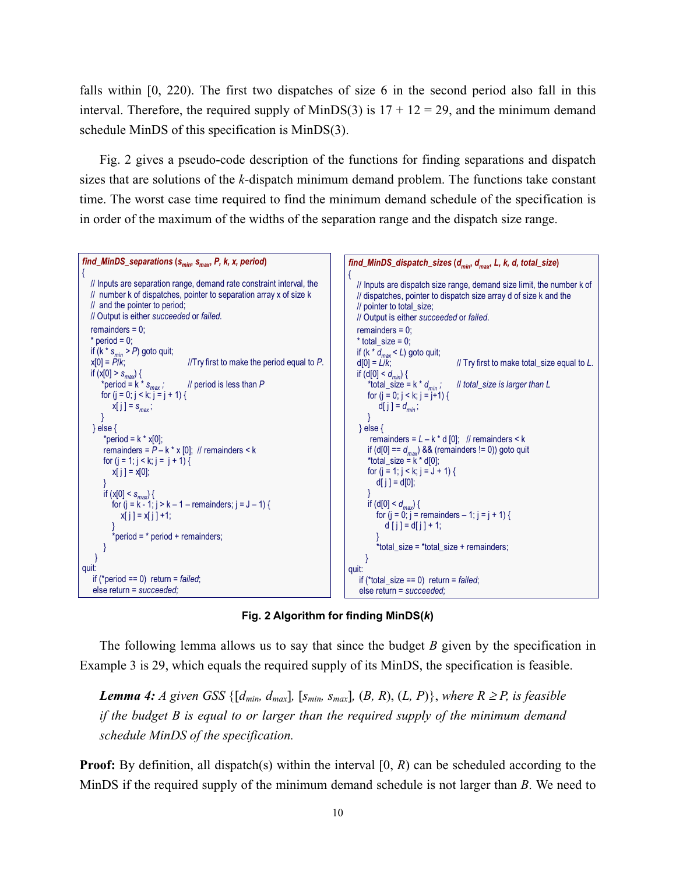falls within [0, 220). The first two dispatches of size 6 in the second period also fall in this interval. Therefore, the required supply of MinDS(3) is  $17 + 12 = 29$ , and the minimum demand schedule MinDS of this specification is MinDS(3).

Fig. 2 gives a pseudo-code description of the functions for finding separations and dispatch sizes that are solutions of the *k-*dispatch minimum demand problem. The functions take constant time. The worst case time required to find the minimum demand schedule of the specification is in order of the maximum of the widths of the separation range and the dispatch size range.



**Fig. 2 Algorithm for finding MinDS(***k***)**

The following lemma allows us to say that since the budget *B* given by the specification in Example 3 is 29, which equals the required supply of its MinDS, the specification is feasible.

*Lemma 4: A given GSS*  $\{[d_{min}, d_{max}], [s_{min}, s_{max}], (B, R), (L, P)\}$ , where  $R \ge P$ , is feasible *if the budget B is equal to or larger than the required supply of the minimum demand schedule MinDS of the specification.* 

**Proof:** By definition, all dispatch(s) within the interval [0, *R*) can be scheduled according to the MinDS if the required supply of the minimum demand schedule is not larger than *B*. We need to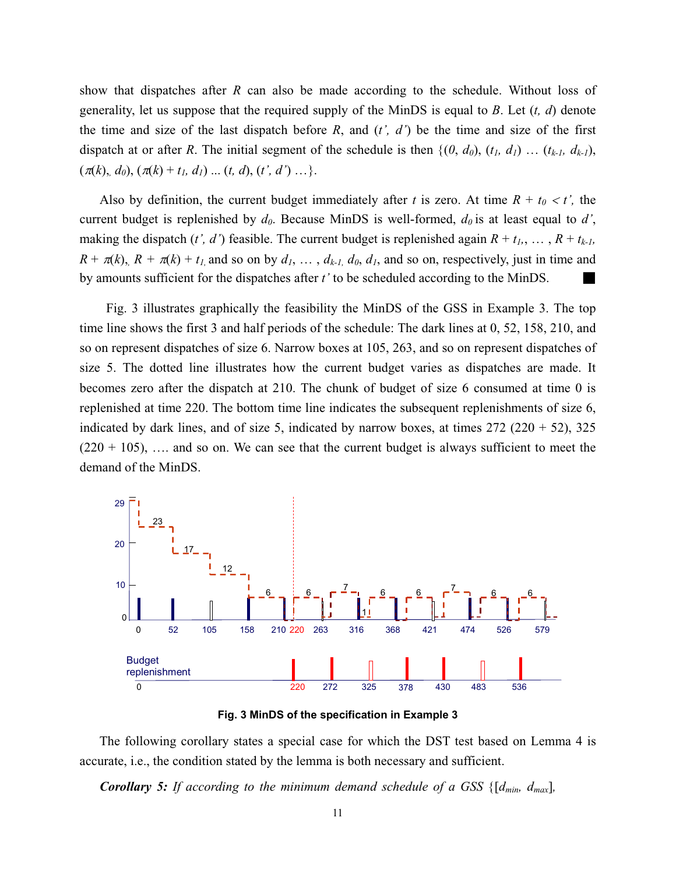show that dispatches after *R* can also be made according to the schedule. Without loss of generality, let us suppose that the required supply of the MinDS is equal to *B*. Let (*t, d*) denote the time and size of the last dispatch before  $R$ , and  $(t', d')$  be the time and size of the first dispatch at or after *R*. The initial segment of the schedule is then  $\{(0, d_0), (t_1, d_1), (t_k, d_{k-1}),$  $(\pi(k), d_0), (\pi(k) + t_1, d_1) \dots (t, d), (t', d') \dots$ .

Also by definition, the current budget immediately after *t* is zero. At time  $R + t_0 < t'$ , the current budget is replenished by  $d_0$ . Because MinDS is well-formed,  $d_0$  is at least equal to  $d'$ , making the dispatch (*t', d'*) feasible. The current budget is replenished again  $R + t_1, \ldots, R + t_{k-l}$ ,  $R + \pi(k)$ ,  $R + \pi(k) + t_1$  and so on by  $d_1, \ldots, d_{k-l}$ ,  $d_0, d_1$ , and so on, respectively, just in time and by amounts sufficient for the dispatches after *t*' to be scheduled according to the MinDS.

Fig. 3 illustrates graphically the feasibility the MinDS of the GSS in Example 3. The top time line shows the first 3 and half periods of the schedule: The dark lines at 0, 52, 158, 210, and so on represent dispatches of size 6. Narrow boxes at 105, 263, and so on represent dispatches of size 5. The dotted line illustrates how the current budget varies as dispatches are made. It becomes zero after the dispatch at 210. The chunk of budget of size 6 consumed at time 0 is replenished at time 220. The bottom time line indicates the subsequent replenishments of size 6, indicated by dark lines, and of size 5, indicated by narrow boxes, at times  $272 (220 + 52)$ ,  $325$  $(220 + 105)$ , ... and so on. We can see that the current budget is always sufficient to meet the demand of the MinDS.





The following corollary states a special case for which the DST test based on Lemma 4 is accurate, i.e., the condition stated by the lemma is both necessary and sufficient.

*Corollary 5: If according to the minimum demand schedule of a GSS* {[*dmin, dmax*]*,*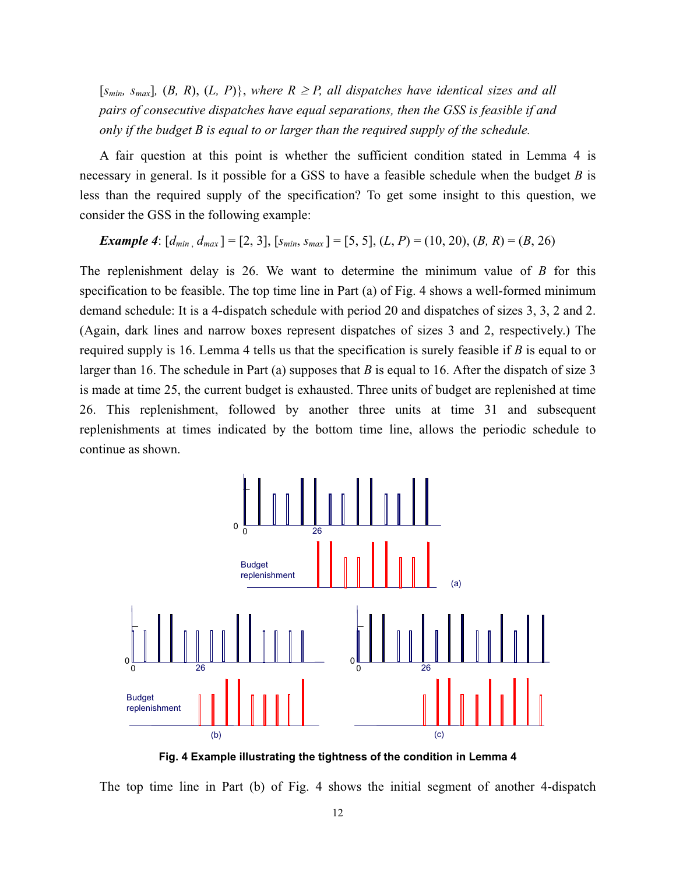$[s_{min}, s_{max}]$ ,  $(B, R), (L, P)$ , where  $R \ge P$ , all dispatches have identical sizes and all *pairs of consecutive dispatches have equal separations, then the GSS is feasible if and only if the budget B is equal to or larger than the required supply of the schedule.* 

A fair question at this point is whether the sufficient condition stated in Lemma 4 is necessary in general. Is it possible for a GSS to have a feasible schedule when the budget *B* is less than the required supply of the specification? To get some insight to this question, we consider the GSS in the following example:

*Example 4*:  $[d_{min}, d_{max}] = [2, 3]$ ,  $[s_{min}, s_{max}] = [5, 5]$ ,  $(L, P) = (10, 20)$ ,  $(B, R) = (B, 26)$ 

The replenishment delay is 26. We want to determine the minimum value of *B* for this specification to be feasible. The top time line in Part (a) of Fig. 4 shows a well-formed minimum demand schedule: It is a 4-dispatch schedule with period 20 and dispatches of sizes 3, 3, 2 and 2. (Again, dark lines and narrow boxes represent dispatches of sizes 3 and 2, respectively.) The required supply is 16. Lemma 4 tells us that the specification is surely feasible if *B* is equal to or larger than 16. The schedule in Part (a) supposes that *B* is equal to 16. After the dispatch of size 3 is made at time 25, the current budget is exhausted. Three units of budget are replenished at time 26. This replenishment, followed by another three units at time 31 and subsequent replenishments at times indicated by the bottom time line, allows the periodic schedule to continue as shown.



**Fig. 4 Example illustrating the tightness of the condition in Lemma 4** 

The top time line in Part (b) of Fig. 4 shows the initial segment of another 4-dispatch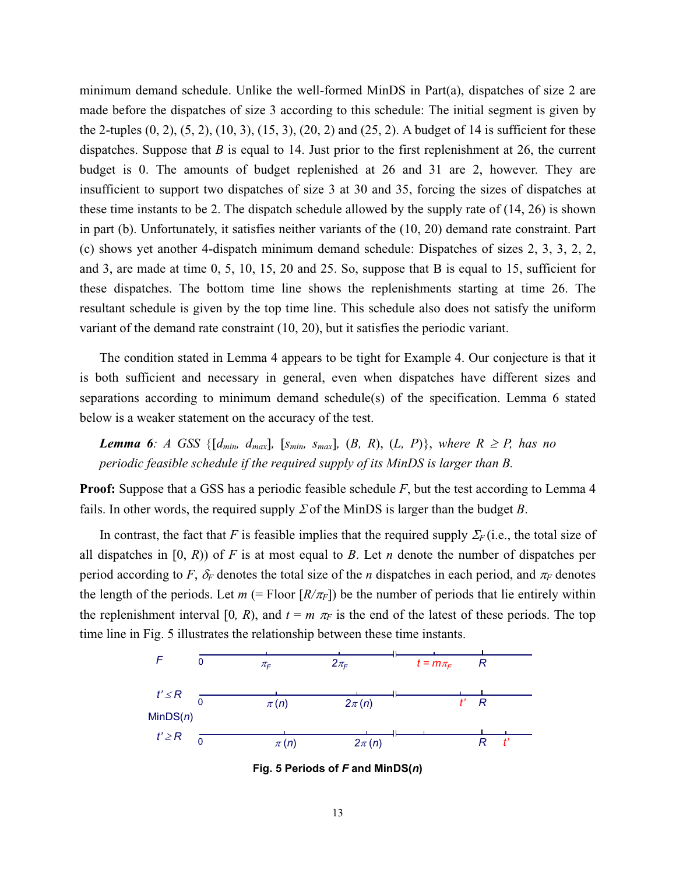minimum demand schedule. Unlike the well-formed MinDS in Part(a), dispatches of size 2 are made before the dispatches of size 3 according to this schedule: The initial segment is given by the 2-tuples  $(0, 2)$ ,  $(5, 2)$ ,  $(10, 3)$ ,  $(15, 3)$ ,  $(20, 2)$  and  $(25, 2)$ . A budget of 14 is sufficient for these dispatches. Suppose that *B* is equal to 14. Just prior to the first replenishment at 26, the current budget is 0. The amounts of budget replenished at 26 and 31 are 2, however. They are insufficient to support two dispatches of size 3 at 30 and 35, forcing the sizes of dispatches at these time instants to be 2. The dispatch schedule allowed by the supply rate of (14, 26) is shown in part (b). Unfortunately, it satisfies neither variants of the (10, 20) demand rate constraint. Part (c) shows yet another 4-dispatch minimum demand schedule: Dispatches of sizes 2, 3, 3, 2, 2, and 3, are made at time 0, 5, 10, 15, 20 and 25. So, suppose that B is equal to 15, sufficient for these dispatches. The bottom time line shows the replenishments starting at time 26. The resultant schedule is given by the top time line. This schedule also does not satisfy the uniform variant of the demand rate constraint (10, 20), but it satisfies the periodic variant.

The condition stated in Lemma 4 appears to be tight for Example 4. Our conjecture is that it is both sufficient and necessary in general, even when dispatches have different sizes and separations according to minimum demand schedule(s) of the specification. Lemma 6 stated below is a weaker statement on the accuracy of the test.

*Lemma 6: A GSS* { $[d_{min}, d_{max}]$ ,  $[s_{min}, s_{max}]$ ,  $(B, R), (L, P)$ }, where  $R \ge P$ , has no *periodic feasible schedule if the required supply of its MinDS is larger than B.* 

**Proof:** Suppose that a GSS has a periodic feasible schedule F, but the test according to Lemma 4 fails. In other words, the required supply  $\Sigma$  of the MinDS is larger than the budget *B*.

In contrast, the fact that *F* is feasible implies that the required supply  $\Sigma_F$  (i.e., the total size of all dispatches in [0, *R*)) of *F* is at most equal to *B*. Let *n* denote the number of dispatches per period according to *F*,  $\delta_F$  denotes the total size of the *n* dispatches in each period, and  $\pi_F$  denotes the length of the periods. Let  $m$  (= Floor  $\left[\frac{R}{\pi_F}\right]$ ) be the number of periods that lie entirely within the replenishment interval [0, R), and  $t = m \pi_F$  is the end of the latest of these periods. The top time line in Fig. 5 illustrates the relationship between these time instants.



**Fig. 5 Periods of** *F* **and MinDS(***n***)**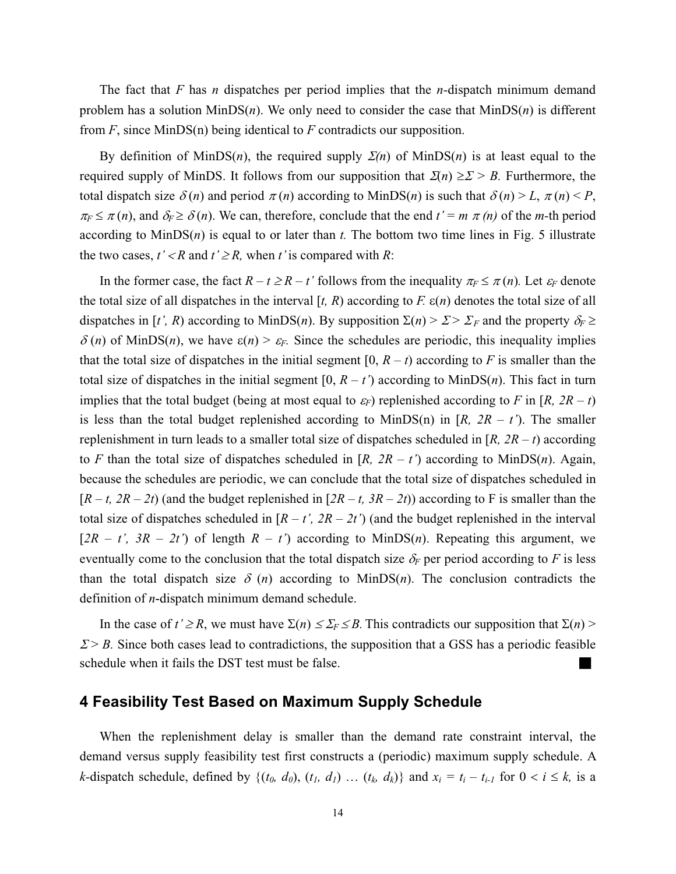The fact that *F* has *n* dispatches per period implies that the *n-*dispatch minimum demand problem has a solution MinDS(*n*). We only need to consider the case that MinDS(*n*) is different from *F*, since MinDS(n) being identical to *F* contradicts our supposition.

By definition of MinDS(*n*), the required supply  $\Sigma(n)$  of MinDS(*n*) is at least equal to the required supply of MinDS. It follows from our supposition that  $\mathcal{Z}(n) \geq \mathcal{Z} > B$ . Furthermore, the total dispatch size  $\delta(n)$  and period  $\pi(n)$  according to MinDS(*n*) is such that  $\delta(n) > L$ ,  $\pi(n) < P$ ,  $\pi_F \leq \pi(n)$ , and  $\delta_F \geq \delta(n)$ . We can, therefore, conclude that the end  $t' = m \pi(n)$  of the *m*-th period according to MinDS(*n*) is equal to or later than *t.* The bottom two time lines in Fig. 5 illustrate the two cases,  $t' < R$  and  $t' \geq R$ , when t' is compared with R:

In the former case, the fact  $R - t \ge R - t'$  follows from the inequality  $\pi_F \le \pi(n)$ . Let  $\varepsilon_F$  denote the total size of all dispatches in the interval  $[t, R)$  according to  $F$ .  $\varepsilon(n)$  denotes the total size of all dispatches in [*t', R*) according to MinDS(*n*). By supposition  $\Sigma(n) > \Sigma > \Sigma_F$  and the property  $\delta_F \ge$  $\delta(n)$  of MinDS(*n*), we have  $\varepsilon(n) > \varepsilon_F$ . Since the schedules are periodic, this inequality implies that the total size of dispatches in the initial segment  $[0, R - t)$  according to *F* is smaller than the total size of dispatches in the initial segment  $[0, R - t')$  according to MinDS $(n)$ . This fact in turn implies that the total budget (being at most equal to  $\varepsilon_F$ ) replenished according to *F* in [*R*, 2*R* – *t*) is less than the total budget replenished according to MinDS(n) in  $[R, 2R - t]$ . The smaller replenishment in turn leads to a smaller total size of dispatches scheduled in [*R, 2R – t*) according to *F* than the total size of dispatches scheduled in  $[R, 2R - t')$  according to MinDS(*n*). Again, because the schedules are periodic, we can conclude that the total size of dispatches scheduled in  $[R - t, 2R - 2t)$  (and the budget replenished in  $[2R - t, 3R - 2t)$ ) according to F is smaller than the total size of dispatches scheduled in  $[R - t', 2R - 2t')$  (and the budget replenished in the interval  $[2R - t^{\prime}, 3R - 2t^{\prime}]$  of length  $R - t^{\prime}$  according to MinDS(*n*). Repeating this argument, we eventually come to the conclusion that the total dispatch size  $\delta_F$  per period according to F is less than the total dispatch size  $\delta$  (*n*) according to MinDS(*n*). The conclusion contradicts the definition of *n*-dispatch minimum demand schedule.

In the case of  $t' \ge R$ , we must have  $\Sigma(n) \le \Sigma_F \le B$ . This contradicts our supposition that  $\Sigma(n)$  $\mathcal{E} > B$ . Since both cases lead to contradictions, the supposition that a GSS has a periodic feasible schedule when it fails the DST test must be false.

### **4 Feasibility Test Based on Maximum Supply Schedule**

When the replenishment delay is smaller than the demand rate constraint interval, the demand versus supply feasibility test first constructs a (periodic) maximum supply schedule. A *k*-dispatch schedule, defined by  $\{(t_0, d_0), (t_1, d_1) \dots (t_k, d_k)\}\$  and  $x_i = t_i - t_{i-1}$  for  $0 < i \leq k$ , is a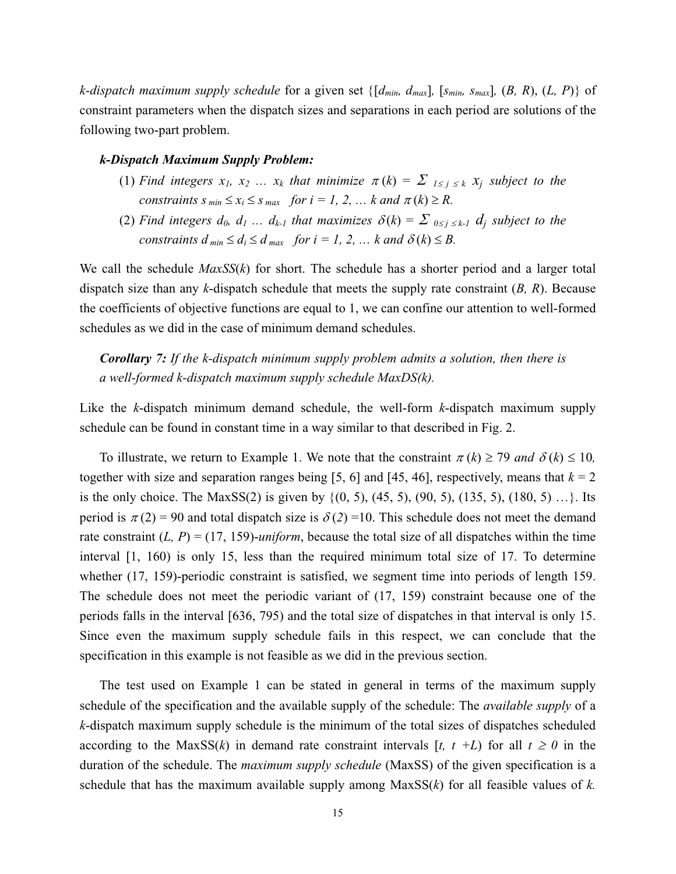*k*-dispatch maximum supply schedule for a given set  $\{[d_{min}, d_{max}]$ ,  $[s_{min}, s_{max}]$ ,  $(B, R), (L, P)\}$  of constraint parameters when the dispatch sizes and separations in each period are solutions of the following two-part problem.

#### *k-Dispatch Maximum Supply Problem:*

- (1) *Find integers*  $x_1, x_2, \ldots, x_k$  that minimize  $\pi(k) = \sum_{1 \leq j \leq k} x_j$  subject to the *constraints s*  $_{min} \le x_i \le s$   $_{max}$  *for i = 1, 2, ... k and*  $\pi(k) \ge R$ *.*
- (2) Find integers  $d_0, d_1, \ldots, d_{k-1}$  that maximizes  $\delta(k) = \sum_{0 \leq i \leq k-1} d_i$  subject to the *constraints*  $d_{min} \leq d_i \leq d_{max}$  *for*  $i = 1, 2, ...$  *k and*  $\delta(k) \leq B$ *.*

We call the schedule  $MaxSS(k)$  for short. The schedule has a shorter period and a larger total dispatch size than any *k*-dispatch schedule that meets the supply rate constraint (*B, R*). Because the coefficients of objective functions are equal to 1, we can confine our attention to well-formed schedules as we did in the case of minimum demand schedules.

*Corollary 7: If the k-dispatch minimum supply problem admits a solution, then there is a well-formed k-dispatch maximum supply schedule MaxDS(k).* 

Like the *k*-dispatch minimum demand schedule, the well-form *k*-dispatch maximum supply schedule can be found in constant time in a way similar to that described in Fig. 2.

To illustrate, we return to Example 1. We note that the constraint  $\pi(k) \ge 79$  and  $\delta(k) \le 10$ , together with size and separation ranges being [5, 6] and [45, 46], respectively, means that  $k = 2$ is the only choice. The MaxSS(2) is given by  $\{(0, 5), (45, 5), (90, 5), (135, 5), (180, 5), ...\}$ . Its period is  $\pi(2) = 90$  and total dispatch size is  $\delta(2) = 10$ . This schedule does not meet the demand rate constraint  $(L, P) = (17, 159)$ -*uniform*, because the total size of all dispatches within the time interval [1, 160) is only 15, less than the required minimum total size of 17. To determine whether (17, 159)-periodic constraint is satisfied, we segment time into periods of length 159. The schedule does not meet the periodic variant of (17, 159) constraint because one of the periods falls in the interval [636, 795) and the total size of dispatches in that interval is only 15. Since even the maximum supply schedule fails in this respect, we can conclude that the specification in this example is not feasible as we did in the previous section.

The test used on Example 1 can be stated in general in terms of the maximum supply schedule of the specification and the available supply of the schedule: The *available supply* of a *k*-dispatch maximum supply schedule is the minimum of the total sizes of dispatches scheduled according to the MaxSS(*k*) in demand rate constraint intervals [*t, t* +*L*) for all  $t \ge 0$  in the duration of the schedule. The *maximum supply schedule* (MaxSS) of the given specification is a schedule that has the maximum available supply among MaxSS(*k*) for all feasible values of *k.*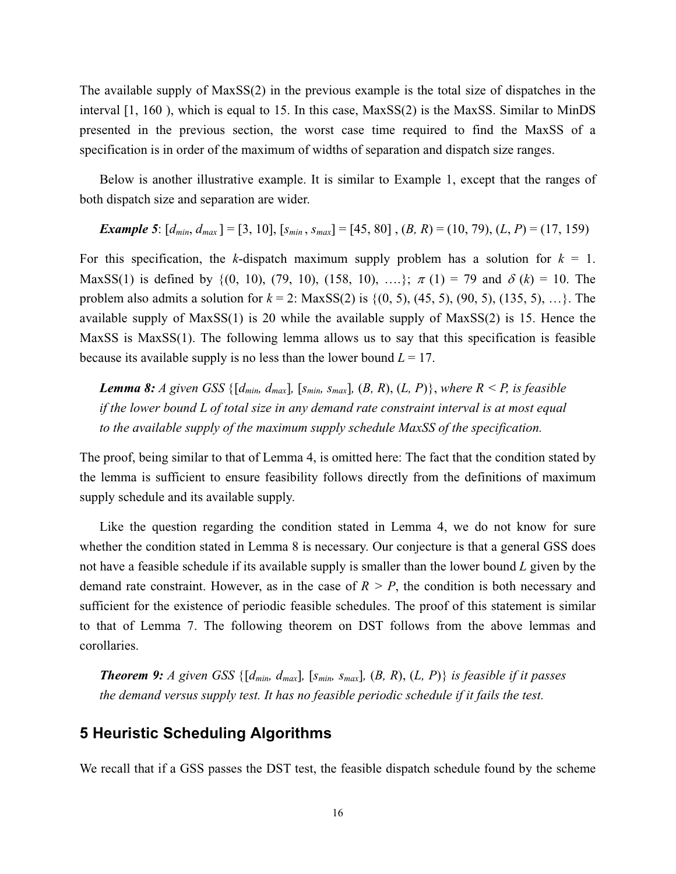The available supply of MaxSS(2) in the previous example is the total size of dispatches in the interval [1, 160 ), which is equal to 15. In this case, MaxSS(2) is the MaxSS. Similar to MinDS presented in the previous section, the worst case time required to find the MaxSS of a specification is in order of the maximum of widths of separation and dispatch size ranges.

Below is another illustrative example. It is similar to Example 1, except that the ranges of both dispatch size and separation are wider.

**Example 5:** 
$$
[d_{min}, d_{max}] = [3, 10], [s_{min}, s_{max}] = [45, 80], (B, R) = (10, 79), (L, P) = (17, 159)
$$

For this specification, the *k*-dispatch maximum supply problem has a solution for  $k = 1$ . MaxSS(1) is defined by {(0, 10), (79, 10), (158, 10), ….};  $\pi$  (1) = 79 and  $\delta$  (k) = 10. The problem also admits a solution for  $k = 2$ : MaxSS(2) is  $\{(0, 5), (45, 5), (90, 5), (135, 5), ...\}$ . The available supply of MaxSS(1) is 20 while the available supply of MaxSS(2) is 15. Hence the MaxSS is MaxSS(1). The following lemma allows us to say that this specification is feasible because its available supply is no less than the lower bound  $L = 17$ .

*Lemma 8: A given GSS* { $[d_{min}, d_{max}$ *,*  $[s_{min}, s_{max}]$ *,*  $(B, R)$ *,*  $(L, P)$ *}, where*  $R \leq P$ *, is feasible if the lower bound L of total size in any demand rate constraint interval is at most equal to the available supply of the maximum supply schedule MaxSS of the specification.* 

The proof, being similar to that of Lemma 4, is omitted here: The fact that the condition stated by the lemma is sufficient to ensure feasibility follows directly from the definitions of maximum supply schedule and its available supply.

Like the question regarding the condition stated in Lemma 4, we do not know for sure whether the condition stated in Lemma 8 is necessary. Our conjecture is that a general GSS does not have a feasible schedule if its available supply is smaller than the lower bound *L* given by the demand rate constraint. However, as in the case of  $R > P$ , the condition is both necessary and sufficient for the existence of periodic feasible schedules. The proof of this statement is similar to that of Lemma 7. The following theorem on DST follows from the above lemmas and corollaries.

*Theorem 9: A given GSS*  $\{[d_{min}, d_{max}]\}$ ,  $[s_{min}, s_{max}]$ ,  $(B, R), (L, P)\}$  *is feasible if it passes the demand versus supply test. It has no feasible periodic schedule if it fails the test.* 

## **5 Heuristic Scheduling Algorithms**

We recall that if a GSS passes the DST test, the feasible dispatch schedule found by the scheme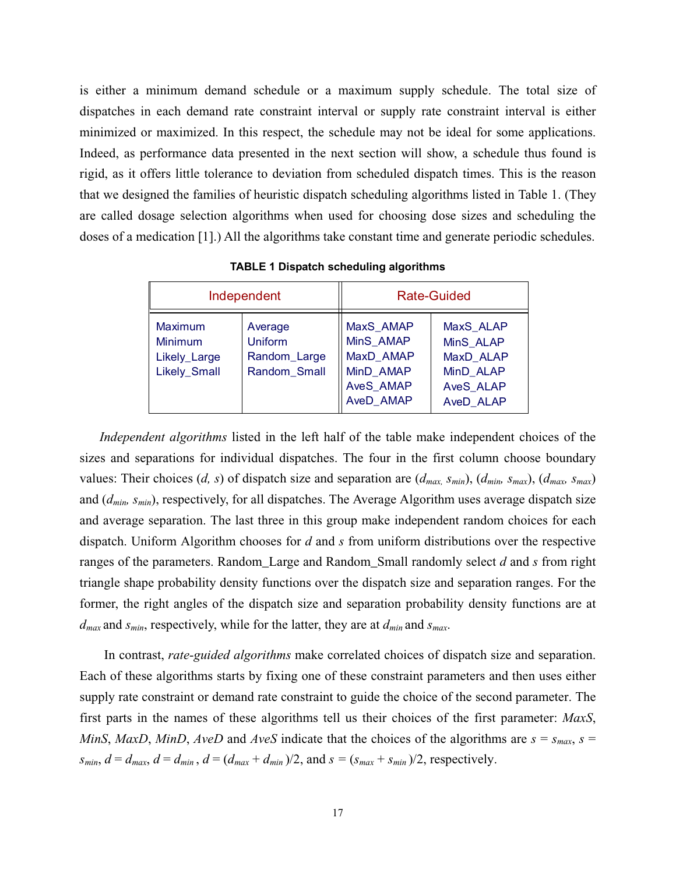is either a minimum demand schedule or a maximum supply schedule. The total size of dispatches in each demand rate constraint interval or supply rate constraint interval is either minimized or maximized. In this respect, the schedule may not be ideal for some applications. Indeed, as performance data presented in the next section will show, a schedule thus found is rigid, as it offers little tolerance to deviation from scheduled dispatch times. This is the reason that we designed the families of heuristic dispatch scheduling algorithms listed in Table 1. (They are called dosage selection algorithms when used for choosing dose sizes and scheduling the doses of a medication [1].) All the algorithms take constant time and generate periodic schedules.

| Independent                                                      |                                                           | <b>Rate-Guided</b>                                                                |                                                                                   |
|------------------------------------------------------------------|-----------------------------------------------------------|-----------------------------------------------------------------------------------|-----------------------------------------------------------------------------------|
| Maximum<br><b>Minimum</b><br>Likely_Large<br><b>Likely Small</b> | Average<br><b>Uniform</b><br>Random_Large<br>Random Small | MaxS AMAP<br>MinS AMAP<br>MaxD AMAP<br>MinD AMAP<br><b>AveS AMAP</b><br>AveD AMAP | MaxS ALAP<br>MinS ALAP<br>MaxD ALAP<br>MinD ALAP<br><b>AveS ALAP</b><br>AveD ALAP |

**TABLE 1 Dispatch scheduling algorithms** 

*Independent algorithms* listed in the left half of the table make independent choices of the sizes and separations for individual dispatches. The four in the first column choose boundary values: Their choices (*d*, *s*) of dispatch size and separation are  $(d_{max, S_{min}})$ ,  $(d_{min, S_{max}})$ ,  $(d_{max, S_{max}})$ and (*dmin, smin*), respectively, for all dispatches. The Average Algorithm uses average dispatch size and average separation. The last three in this group make independent random choices for each dispatch. Uniform Algorithm chooses for *d* and *s* from uniform distributions over the respective ranges of the parameters. Random\_Large and Random\_Small randomly select *d* and *s* from right triangle shape probability density functions over the dispatch size and separation ranges. For the former, the right angles of the dispatch size and separation probability density functions are at *dmax* and *smin*, respectively, while for the latter, they are at *dmin* and *smax*.

In contrast, *rate-guided algorithms* make correlated choices of dispatch size and separation. Each of these algorithms starts by fixing one of these constraint parameters and then uses either supply rate constraint or demand rate constraint to guide the choice of the second parameter. The first parts in the names of these algorithms tell us their choices of the first parameter: *MaxS*, *MinS*, *MaxD*, *MinD*, *AveD* and *AveS* indicate that the choices of the algorithms are  $s = s_{max}$ ,  $s =$  $s_{min}$ ,  $d = d_{max}$ ,  $d = d_{min}$ ,  $d = (d_{max} + d_{min})/2$ , and  $s = (s_{max} + s_{min})/2$ , respectively.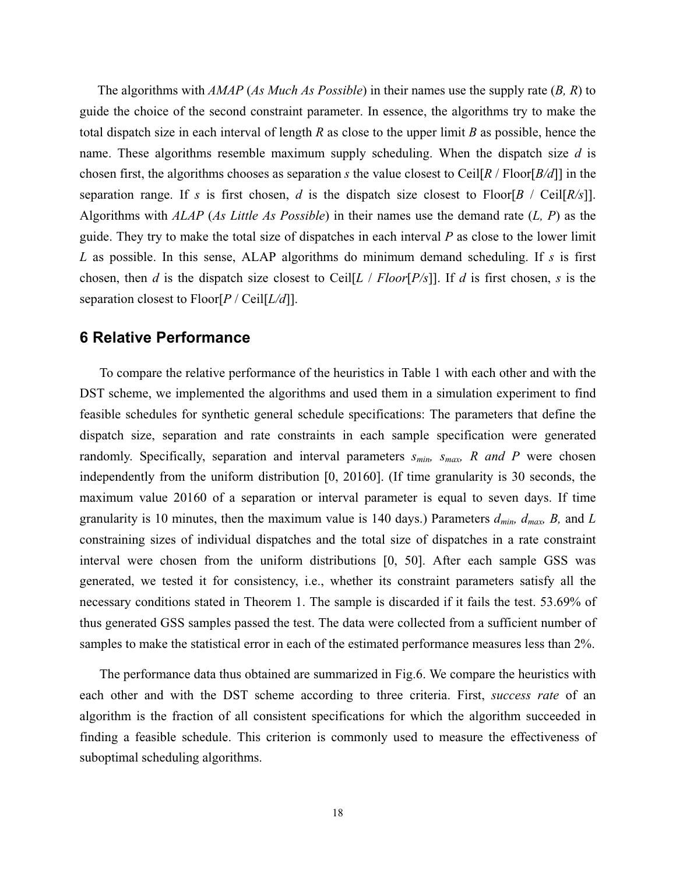The algorithms with *AMAP* (*As Much As Possible*) in their names use the supply rate (*B, R*) to guide the choice of the second constraint parameter. In essence, the algorithms try to make the total dispatch size in each interval of length *R* as close to the upper limit *B* as possible, hence the name. These algorithms resemble maximum supply scheduling. When the dispatch size *d* is chosen first, the algorithms chooses as separation *s* the value closest to Ceil[*R* / Floor[*B/d*]] in the separation range. If *s* is first chosen, *d* is the dispatch size closest to Floor[*B* / Ceil[*R/s*]]. Algorithms with *ALAP* (*As Little As Possible*) in their names use the demand rate (*L, P*) as the guide. They try to make the total size of dispatches in each interval *P* as close to the lower limit *L* as possible. In this sense, ALAP algorithms do minimum demand scheduling. If *s* is first chosen, then *d* is the dispatch size closest to Ceil[*L* / *Floor*[*P/s*]]. If *d* is first chosen, *s* is the separation closest to Floor[*P* / Ceil[*L/d*]].

#### **6 Relative Performance**

To compare the relative performance of the heuristics in Table 1 with each other and with the DST scheme, we implemented the algorithms and used them in a simulation experiment to find feasible schedules for synthetic general schedule specifications: The parameters that define the dispatch size, separation and rate constraints in each sample specification were generated randomly. Specifically, separation and interval parameters  $s_{min}$ ,  $s_{max}$ , R and P were chosen independently from the uniform distribution [0, 20160]. (If time granularity is 30 seconds, the maximum value 20160 of a separation or interval parameter is equal to seven days. If time granularity is 10 minutes, then the maximum value is 140 days.) Parameters  $d_{min}$ ,  $d_{max}$ ,  $B$ , and  $L$ constraining sizes of individual dispatches and the total size of dispatches in a rate constraint interval were chosen from the uniform distributions [0, 50]. After each sample GSS was generated, we tested it for consistency, i.e., whether its constraint parameters satisfy all the necessary conditions stated in Theorem 1. The sample is discarded if it fails the test. 53.69% of thus generated GSS samples passed the test. The data were collected from a sufficient number of samples to make the statistical error in each of the estimated performance measures less than 2%.

The performance data thus obtained are summarized in Fig.6. We compare the heuristics with each other and with the DST scheme according to three criteria. First, *success rate* of an algorithm is the fraction of all consistent specifications for which the algorithm succeeded in finding a feasible schedule. This criterion is commonly used to measure the effectiveness of suboptimal scheduling algorithms.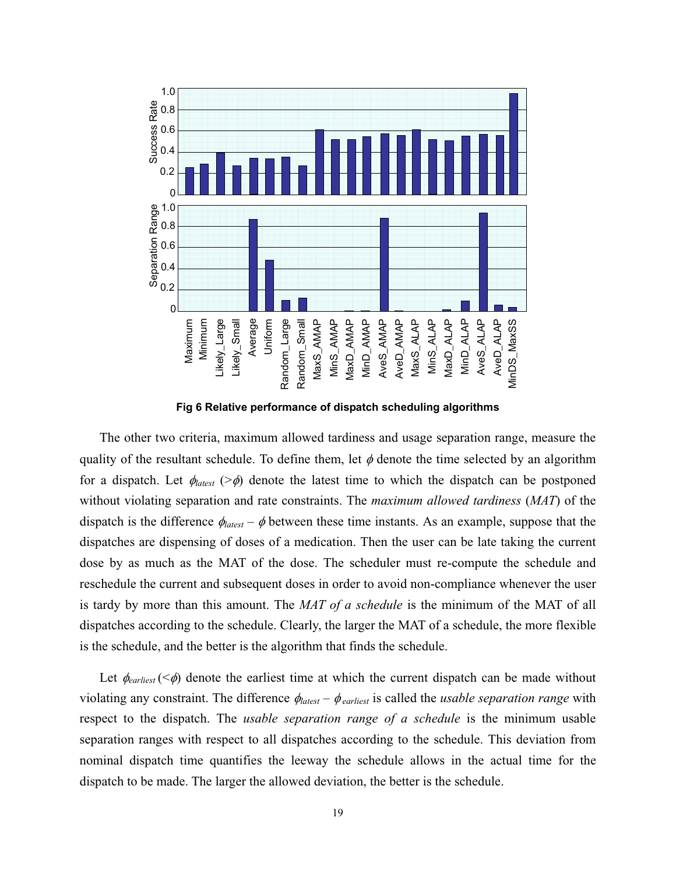

**Fig 6 Relative performance of dispatch scheduling algorithms** 

The other two criteria, maximum allowed tardiness and usage separation range, measure the quality of the resultant schedule. To define them, let  $\phi$  denote the time selected by an algorithm for a dispatch. Let  $\phi_{\text{latest}}$  (> $\phi$ ) denote the latest time to which the dispatch can be postponed without violating separation and rate constraints. The *maximum allowed tardiness* (*MAT*) of the dispatch is the difference  $\phi_{\text{latest}} - \phi$  between these time instants. As an example, suppose that the dispatches are dispensing of doses of a medication. Then the user can be late taking the current dose by as much as the MAT of the dose. The scheduler must re-compute the schedule and reschedule the current and subsequent doses in order to avoid non-compliance whenever the user is tardy by more than this amount. The *MAT of a schedule* is the minimum of the MAT of all dispatches according to the schedule. Clearly, the larger the MAT of a schedule, the more flexible is the schedule, and the better is the algorithm that finds the schedule.

Let  $\phi_{\text{earliest}} (\leq \phi)$  denote the earliest time at which the current dispatch can be made without violating any constraint. The difference  $\phi_{\text{latest}} - \phi_{\text{earliest}}$  is called the *usable separation range* with respect to the dispatch. The *usable separation range of a schedule* is the minimum usable separation ranges with respect to all dispatches according to the schedule. This deviation from nominal dispatch time quantifies the leeway the schedule allows in the actual time for the dispatch to be made. The larger the allowed deviation, the better is the schedule.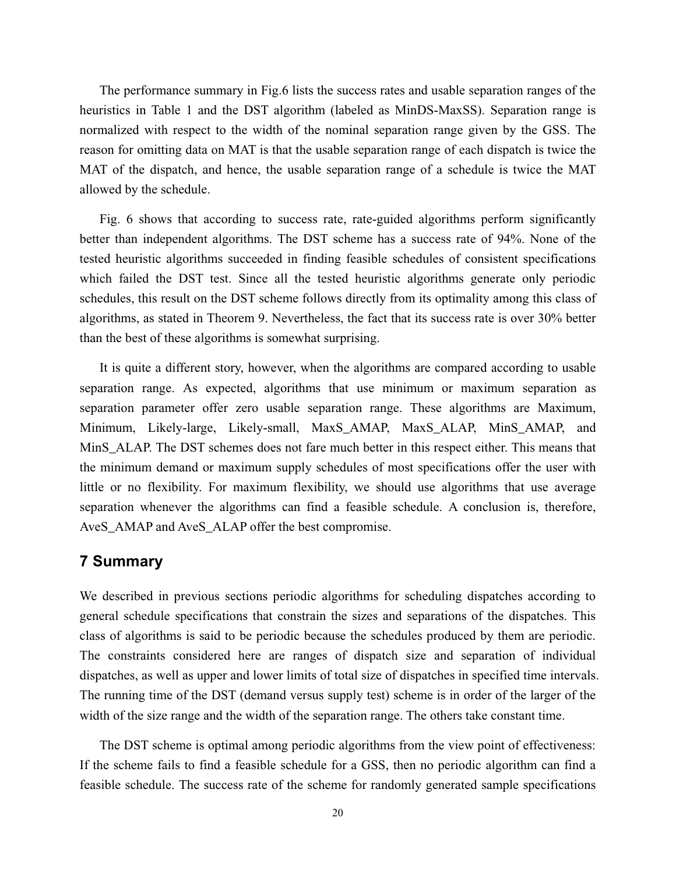The performance summary in Fig.6 lists the success rates and usable separation ranges of the heuristics in Table 1 and the DST algorithm (labeled as MinDS-MaxSS). Separation range is normalized with respect to the width of the nominal separation range given by the GSS. The reason for omitting data on MAT is that the usable separation range of each dispatch is twice the MAT of the dispatch, and hence, the usable separation range of a schedule is twice the MAT allowed by the schedule.

 Fig. 6 shows that according to success rate, rate-guided algorithms perform significantly better than independent algorithms. The DST scheme has a success rate of 94%. None of the tested heuristic algorithms succeeded in finding feasible schedules of consistent specifications which failed the DST test. Since all the tested heuristic algorithms generate only periodic schedules, this result on the DST scheme follows directly from its optimality among this class of algorithms, as stated in Theorem 9. Nevertheless, the fact that its success rate is over 30% better than the best of these algorithms is somewhat surprising.

It is quite a different story, however, when the algorithms are compared according to usable separation range. As expected, algorithms that use minimum or maximum separation as separation parameter offer zero usable separation range. These algorithms are Maximum, Minimum, Likely-large, Likely-small, MaxS\_AMAP, MaxS\_ALAP, MinS\_AMAP, and MinS\_ALAP. The DST schemes does not fare much better in this respect either. This means that the minimum demand or maximum supply schedules of most specifications offer the user with little or no flexibility. For maximum flexibility, we should use algorithms that use average separation whenever the algorithms can find a feasible schedule. A conclusion is, therefore, AveS\_AMAP and AveS\_ALAP offer the best compromise.

#### **7 Summary**

We described in previous sections periodic algorithms for scheduling dispatches according to general schedule specifications that constrain the sizes and separations of the dispatches. This class of algorithms is said to be periodic because the schedules produced by them are periodic. The constraints considered here are ranges of dispatch size and separation of individual dispatches, as well as upper and lower limits of total size of dispatches in specified time intervals. The running time of the DST (demand versus supply test) scheme is in order of the larger of the width of the size range and the width of the separation range. The others take constant time.

The DST scheme is optimal among periodic algorithms from the view point of effectiveness: If the scheme fails to find a feasible schedule for a GSS, then no periodic algorithm can find a feasible schedule. The success rate of the scheme for randomly generated sample specifications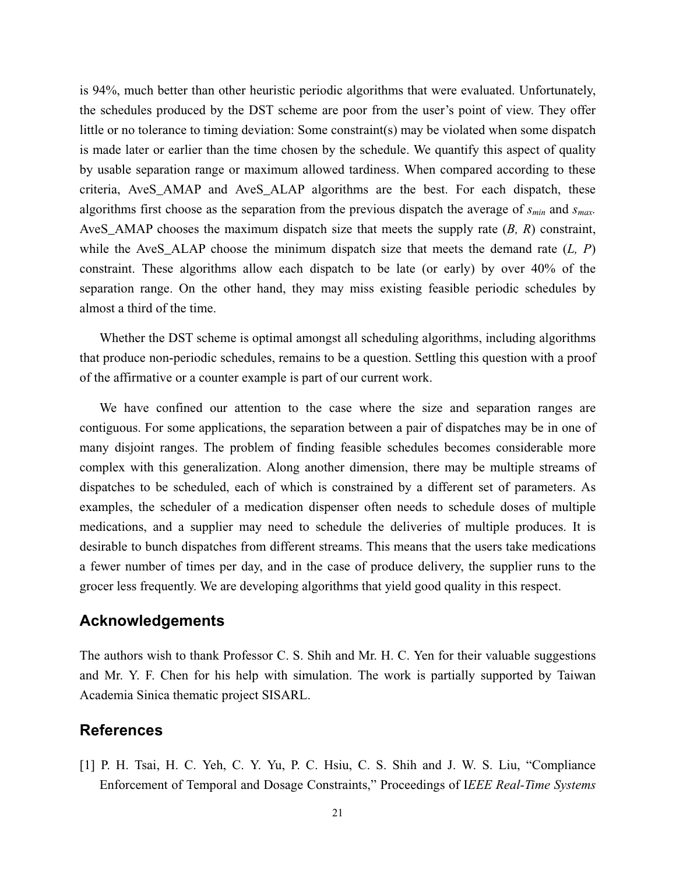is 94%, much better than other heuristic periodic algorithms that were evaluated. Unfortunately, the schedules produced by the DST scheme are poor from the user's point of view. They offer little or no tolerance to timing deviation: Some constraint(s) may be violated when some dispatch is made later or earlier than the time chosen by the schedule. We quantify this aspect of quality by usable separation range or maximum allowed tardiness. When compared according to these criteria, AveS\_AMAP and AveS\_ALAP algorithms are the best. For each dispatch, these algorithms first choose as the separation from the previous dispatch the average of *smin* and *smax.* AveS\_AMAP chooses the maximum dispatch size that meets the supply rate (*B, R*) constraint, while the AveS\_ALAP choose the minimum dispatch size that meets the demand rate (*L, P*) constraint. These algorithms allow each dispatch to be late (or early) by over 40% of the separation range. On the other hand, they may miss existing feasible periodic schedules by almost a third of the time.

Whether the DST scheme is optimal amongst all scheduling algorithms, including algorithms that produce non-periodic schedules, remains to be a question. Settling this question with a proof of the affirmative or a counter example is part of our current work.

We have confined our attention to the case where the size and separation ranges are contiguous. For some applications, the separation between a pair of dispatches may be in one of many disjoint ranges. The problem of finding feasible schedules becomes considerable more complex with this generalization. Along another dimension, there may be multiple streams of dispatches to be scheduled, each of which is constrained by a different set of parameters. As examples, the scheduler of a medication dispenser often needs to schedule doses of multiple medications, and a supplier may need to schedule the deliveries of multiple produces. It is desirable to bunch dispatches from different streams. This means that the users take medications a fewer number of times per day, and in the case of produce delivery, the supplier runs to the grocer less frequently. We are developing algorithms that yield good quality in this respect.

#### **Acknowledgements**

The authors wish to thank Professor C. S. Shih and Mr. H. C. Yen for their valuable suggestions and Mr. Y. F. Chen for his help with simulation. The work is partially supported by Taiwan Academia Sinica thematic project SISARL.

#### **References**

[1] P. H. Tsai, H. C. Yeh, C. Y. Yu, P. C. Hsiu, C. S. Shih and J. W. S. Liu, "Compliance Enforcement of Temporal and Dosage Constraints," Proceedings of I*EEE Real-Time Systems*